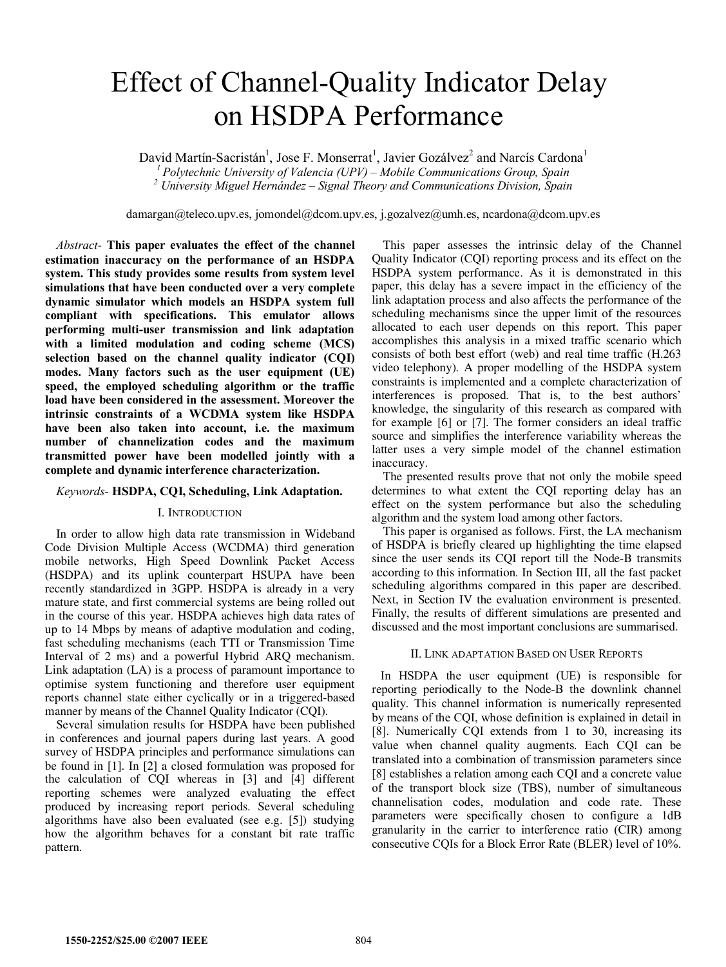# Effect of Channel-Quality Indicator Delay on HSDPA Performance

David Martín-Sacristán<sup>1</sup>, Jose F. Monserrat<sup>1</sup>, Javier Gozálvez<sup>2</sup> and Narcís Cardona<sup>1</sup> <sup>1</sup> Polytechnic University of Valencia (UPV) – Mobile Communications Group, Spain  *University Miguel Hernández – Signal Theory and Communications Division, Spain* 

damargan@teleco.upv.es, jomondel@dcom.upv.es, j.gozalvez@umh.es, ncardona@dcom.upv.es

*Abstract-* **This paper evaluates the effect of the channel estimation inaccuracy on the performance of an HSDPA system. This study provides some results from system level simulations that have been conducted over a very complete dynamic simulator which models an HSDPA system full compliant with specifications. This emulator allows performing multi-user transmission and link adaptation with a limited modulation and coding scheme (MCS) selection based on the channel quality indicator (CQI) modes. Many factors such as the user equipment (UE) speed, the employed scheduling algorithm or the traffic load have been considered in the assessment. Moreover the intrinsic constraints of a WCDMA system like HSDPA have been also taken into account, i.e. the maximum number of channelization codes and the maximum transmitted power have been modelled jointly with a complete and dynamic interference characterization.** 

#### *Keywords-* **HSDPA, CQI, Scheduling, Link Adaptation.**

#### I. INTRODUCTION

In order to allow high data rate transmission in Wideband Code Division Multiple Access (WCDMA) third generation mobile networks, High Speed Downlink Packet Access (HSDPA) and its uplink counterpart HSUPA have been recently standardized in 3GPP. HSDPA is already in a very mature state, and first commercial systems are being rolled out in the course of this year. HSDPA achieves high data rates of up to 14 Mbps by means of adaptive modulation and coding, fast scheduling mechanisms (each TTI or Transmission Time Interval of 2 ms) and a powerful Hybrid ARQ mechanism. Link adaptation (LA) is a process of paramount importance to optimise system functioning and therefore user equipment reports channel state either cyclically or in a triggered-based manner by means of the Channel Quality Indicator (CQI).

Several simulation results for HSDPA have been published in conferences and journal papers during last years. A good survey of HSDPA principles and performance simulations can be found in [1]. In [2] a closed formulation was proposed for the calculation of CQI whereas in [3] and [4] different reporting schemes were analyzed evaluating the effect produced by increasing report periods. Several scheduling algorithms have also been evaluated (see e.g. [5]) studying how the algorithm behaves for a constant bit rate traffic pattern.

This paper assesses the intrinsic delay of the Channel Quality Indicator (CQI) reporting process and its effect on the HSDPA system performance. As it is demonstrated in this paper, this delay has a severe impact in the efficiency of the link adaptation process and also affects the performance of the scheduling mechanisms since the upper limit of the resources allocated to each user depends on this report. This paper accomplishes this analysis in a mixed traffic scenario which consists of both best effort (web) and real time traffic (H.263 video telephony). A proper modelling of the HSDPA system constraints is implemented and a complete characterization of interferences is proposed. That is, to the best authors' knowledge, the singularity of this research as compared with for example [6] or [7]. The former considers an ideal traffic source and simplifies the interference variability whereas the latter uses a very simple model of the channel estimation inaccuracy.

The presented results prove that not only the mobile speed determines to what extent the CQI reporting delay has an effect on the system performance but also the scheduling algorithm and the system load among other factors.

This paper is organised as follows. First, the LA mechanism of HSDPA is briefly cleared up highlighting the time elapsed since the user sends its CQI report till the Node-B transmits according to this information. In Section III, all the fast packet scheduling algorithms compared in this paper are described. Next, in Section IV the evaluation environment is presented. Finally, the results of different simulations are presented and discussed and the most important conclusions are summarised.

#### II. LINK ADAPTATION BASED ON USER REPORTS

In HSDPA the user equipment (UE) is responsible for reporting periodically to the Node-B the downlink channel quality. This channel information is numerically represented by means of the CQI, whose definition is explained in detail in [8]. Numerically CQI extends from 1 to 30, increasing its value when channel quality augments. Each CQI can be translated into a combination of transmission parameters since [8] establishes a relation among each COI and a concrete value of the transport block size (TBS), number of simultaneous channelisation codes, modulation and code rate. These parameters were specifically chosen to configure a 1dB granularity in the carrier to interference ratio (CIR) among consecutive CQIs for a Block Error Rate (BLER) level of 10%.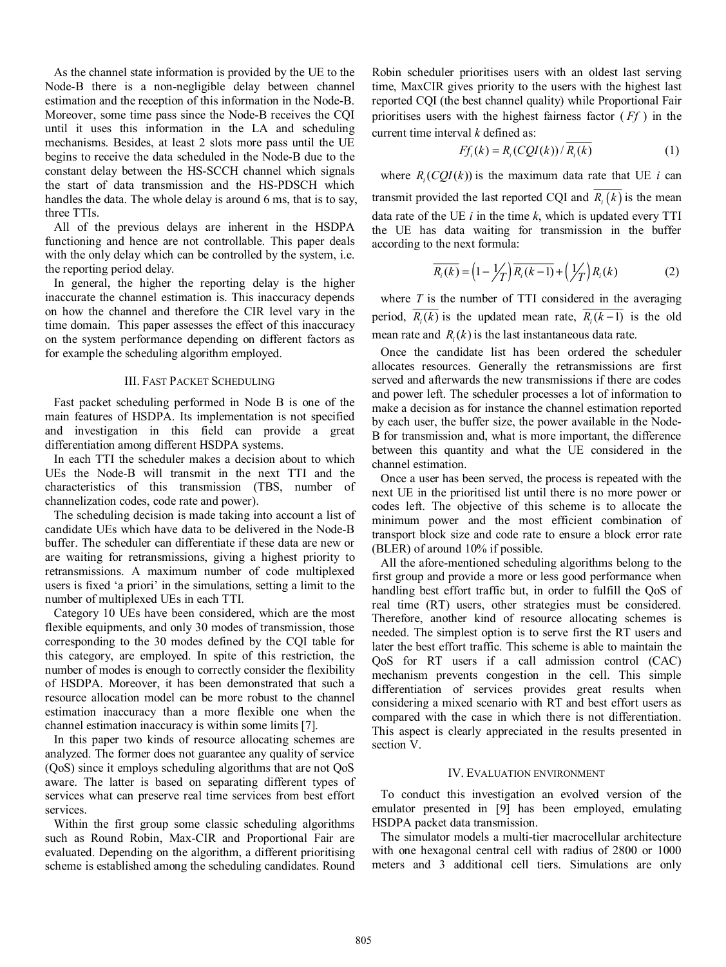As the channel state information is provided by the UE to the Node-B there is a non-negligible delay between channel estimation and the reception of this information in the Node-B. Moreover, some time pass since the Node-B receives the CQI until it uses this information in the LA and scheduling mechanisms. Besides, at least 2 slots more pass until the UE begins to receive the data scheduled in the Node-B due to the constant delay between the HS-SCCH channel which signals the start of data transmission and the HS-PDSCH which handles the data. The whole delay is around 6 ms, that is to say, three TTIs.

All of the previous delays are inherent in the HSDPA functioning and hence are not controllable. This paper deals with the only delay which can be controlled by the system, i.e. the reporting period delay.

In general, the higher the reporting delay is the higher inaccurate the channel estimation is. This inaccuracy depends on how the channel and therefore the CIR level vary in the time domain. This paper assesses the effect of this inaccuracy on the system performance depending on different factors as for example the scheduling algorithm employed.

### III. FAST PACKET SCHEDULING

Fast packet scheduling performed in Node B is one of the main features of HSDPA. Its implementation is not specified and investigation in this field can provide a great differentiation among different HSDPA systems.

In each TTI the scheduler makes a decision about to which UEs the Node-B will transmit in the next TTI and the characteristics of this transmission (TBS, number of channelization codes, code rate and power).

The scheduling decision is made taking into account a list of candidate UEs which have data to be delivered in the Node-B buffer. The scheduler can differentiate if these data are new or are waiting for retransmissions, giving a highest priority to retransmissions. A maximum number of code multiplexed users is fixed 'a priori' in the simulations, setting a limit to the number of multiplexed UEs in each TTI.

Category 10 UEs have been considered, which are the most flexible equipments, and only 30 modes of transmission, those corresponding to the 30 modes defined by the CQI table for this category, are employed. In spite of this restriction, the number of modes is enough to correctly consider the flexibility of HSDPA. Moreover, it has been demonstrated that such a resource allocation model can be more robust to the channel estimation inaccuracy than a more flexible one when the channel estimation inaccuracy is within some limits [7].

In this paper two kinds of resource allocating schemes are analyzed. The former does not guarantee any quality of service (QoS) since it employs scheduling algorithms that are not QoS aware. The latter is based on separating different types of services what can preserve real time services from best effort services.

Within the first group some classic scheduling algorithms such as Round Robin, Max-CIR and Proportional Fair are evaluated. Depending on the algorithm, a different prioritising scheme is established among the scheduling candidates. Round Robin scheduler prioritises users with an oldest last serving time, MaxCIR gives priority to the users with the highest last reported CQI (the best channel quality) while Proportional Fair prioritises users with the highest fairness factor ( *Ff* ) in the current time interval *k* defined as:

$$
Ff_i(k) = R_i(CQI(k))/\overline{R_i(k)}
$$
 (1)

where  $R_i$  (*CQI(k)*) is the maximum data rate that UE *i* can transmit provided the last reported CQI and  $\overline{R_i}(k)$  is the mean data rate of the UE *i* in the time *k*, which is updated every TTI the UE has data waiting for transmission in the buffer according to the next formula:

$$
\overline{R_i(k)} = \left(1 - \frac{1}{T}\right) \overline{R_i(k-1)} + \left(\frac{1}{T}\right) R_i(k) \tag{2}
$$

where *T* is the number of TTI considered in the averaging period,  $\overline{R(k)}$  is the updated mean rate,  $\overline{R(k-1)}$  is the old mean rate and  $R_k(k)$  is the last instantaneous data rate.

Once the candidate list has been ordered the scheduler allocates resources. Generally the retransmissions are first served and afterwards the new transmissions if there are codes and power left. The scheduler processes a lot of information to make a decision as for instance the channel estimation reported by each user, the buffer size, the power available in the Node-B for transmission and, what is more important, the difference between this quantity and what the UE considered in the channel estimation.

Once a user has been served, the process is repeated with the next UE in the prioritised list until there is no more power or codes left. The objective of this scheme is to allocate the minimum power and the most efficient combination of transport block size and code rate to ensure a block error rate (BLER) of around 10% if possible.

All the afore-mentioned scheduling algorithms belong to the first group and provide a more or less good performance when handling best effort traffic but, in order to fulfill the QoS of real time (RT) users, other strategies must be considered. Therefore, another kind of resource allocating schemes is needed. The simplest option is to serve first the RT users and later the best effort traffic. This scheme is able to maintain the QoS for RT users if a call admission control (CAC) mechanism prevents congestion in the cell. This simple differentiation of services provides great results when considering a mixed scenario with RT and best effort users as compared with the case in which there is not differentiation. This aspect is clearly appreciated in the results presented in section V.

#### IV. EVALUATION ENVIRONMENT

To conduct this investigation an evolved version of the emulator presented in [9] has been employed, emulating HSDPA packet data transmission.

The simulator models a multi-tier macrocellular architecture with one hexagonal central cell with radius of 2800 or 1000 meters and 3 additional cell tiers. Simulations are only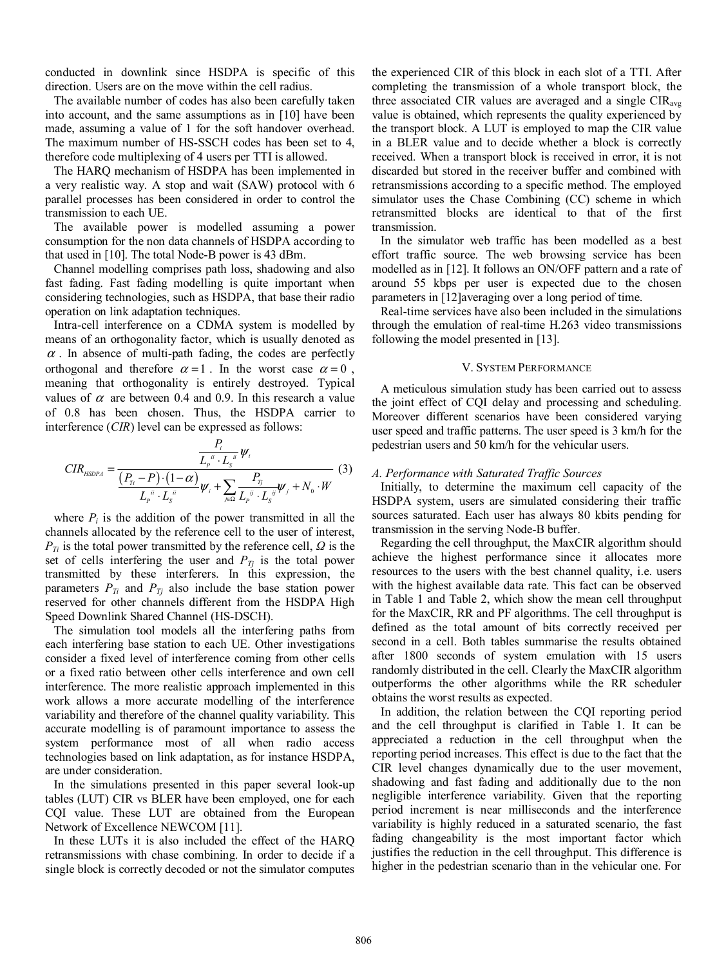conducted in downlink since HSDPA is specific of this direction. Users are on the move within the cell radius.

The available number of codes has also been carefully taken into account, and the same assumptions as in [10] have been made, assuming a value of 1 for the soft handover overhead. The maximum number of HS-SSCH codes has been set to 4, therefore code multiplexing of 4 users per TTI is allowed.

The HARQ mechanism of HSDPA has been implemented in a very realistic way. A stop and wait (SAW) protocol with 6 parallel processes has been considered in order to control the transmission to each UE.

The available power is modelled assuming a power consumption for the non data channels of HSDPA according to that used in [10]. The total Node-B power is 43 dBm.

Channel modelling comprises path loss, shadowing and also fast fading. Fast fading modelling is quite important when considering technologies, such as HSDPA, that base their radio operation on link adaptation techniques.

Intra-cell interference on a CDMA system is modelled by means of an orthogonality factor, which is usually denoted as  $\alpha$ . In absence of multi-path fading, the codes are perfectly orthogonal and therefore  $\alpha = 1$ . In the worst case  $\alpha = 0$ , meaning that orthogonality is entirely destroyed. Typical values of  $\alpha$  are between 0.4 and 0.9. In this research a value of 0.8 has been chosen. Thus, the HSDPA carrier to interference (*CIR*) level can be expressed as follows:

$$
CIR_{HSDPA} = \frac{\frac{P_i}{L_p^{ii} \cdot L_s^{ii}} \psi_i}{\frac{(P_{ti} - P) \cdot (1 - \alpha)}{L_p^{ii} \cdot L_s^{ii}} \psi_i + \sum_{j \in \Omega} \frac{P_{tj}}{L_p^{ii} \cdot L_s^{ii}} \psi_j + N_0 \cdot W} \tag{3}
$$

where  $P_i$  is the addition of the power transmitted in all the channels allocated by the reference cell to the user of interest,  $P_{Ti}$  is the total power transmitted by the reference cell,  $\Omega$  is the set of cells interfering the user and  $P_{Tj}$  is the total power transmitted by these interferers. In this expression, the parameters  $P_{Ti}$  and  $P_{Tj}$  also include the base station power reserved for other channels different from the HSDPA High Speed Downlink Shared Channel (HS-DSCH).

The simulation tool models all the interfering paths from each interfering base station to each UE. Other investigations consider a fixed level of interference coming from other cells or a fixed ratio between other cells interference and own cell interference. The more realistic approach implemented in this work allows a more accurate modelling of the interference variability and therefore of the channel quality variability. This accurate modelling is of paramount importance to assess the system performance most of all when radio access technologies based on link adaptation, as for instance HSDPA, are under consideration.

In the simulations presented in this paper several look-up tables (LUT) CIR vs BLER have been employed, one for each CQI value. These LUT are obtained from the European Network of Excellence NEWCOM [11].

In these LUTs it is also included the effect of the HARQ retransmissions with chase combining. In order to decide if a single block is correctly decoded or not the simulator computes

the experienced CIR of this block in each slot of a TTI. After completing the transmission of a whole transport block, the three associated CIR values are averaged and a single  $CIR_{avg}$ value is obtained, which represents the quality experienced by the transport block. A LUT is employed to map the CIR value in a BLER value and to decide whether a block is correctly received. When a transport block is received in error, it is not discarded but stored in the receiver buffer and combined with retransmissions according to a specific method. The employed simulator uses the Chase Combining (CC) scheme in which retransmitted blocks are identical to that of the first transmission.

In the simulator web traffic has been modelled as a best effort traffic source. The web browsing service has been modelled as in [12]. It follows an ON/OFF pattern and a rate of around 55 kbps per user is expected due to the chosen parameters in [12]averaging over a long period of time.

Real-time services have also been included in the simulations through the emulation of real-time H.263 video transmissions following the model presented in [13].

#### V. SYSTEM PERFORMANCE

A meticulous simulation study has been carried out to assess the joint effect of CQI delay and processing and scheduling. Moreover different scenarios have been considered varying user speed and traffic patterns. The user speed is 3 km/h for the pedestrian users and 50 km/h for the vehicular users.

#### *A. Performance with Saturated Traffic Sources*

Initially, to determine the maximum cell capacity of the HSDPA system, users are simulated considering their traffic sources saturated. Each user has always 80 kbits pending for transmission in the serving Node-B buffer.

Regarding the cell throughput, the MaxCIR algorithm should achieve the highest performance since it allocates more resources to the users with the best channel quality, i.e. users with the highest available data rate. This fact can be observed in Table 1 and Table 2, which show the mean cell throughput for the MaxCIR, RR and PF algorithms. The cell throughput is defined as the total amount of bits correctly received per second in a cell. Both tables summarise the results obtained after 1800 seconds of system emulation with 15 users randomly distributed in the cell. Clearly the MaxCIR algorithm outperforms the other algorithms while the RR scheduler obtains the worst results as expected.

In addition, the relation between the CQI reporting period and the cell throughput is clarified in Table 1. It can be appreciated a reduction in the cell throughput when the reporting period increases. This effect is due to the fact that the CIR level changes dynamically due to the user movement, shadowing and fast fading and additionally due to the non negligible interference variability. Given that the reporting period increment is near milliseconds and the interference variability is highly reduced in a saturated scenario, the fast fading changeability is the most important factor which justifies the reduction in the cell throughput. This difference is higher in the pedestrian scenario than in the vehicular one. For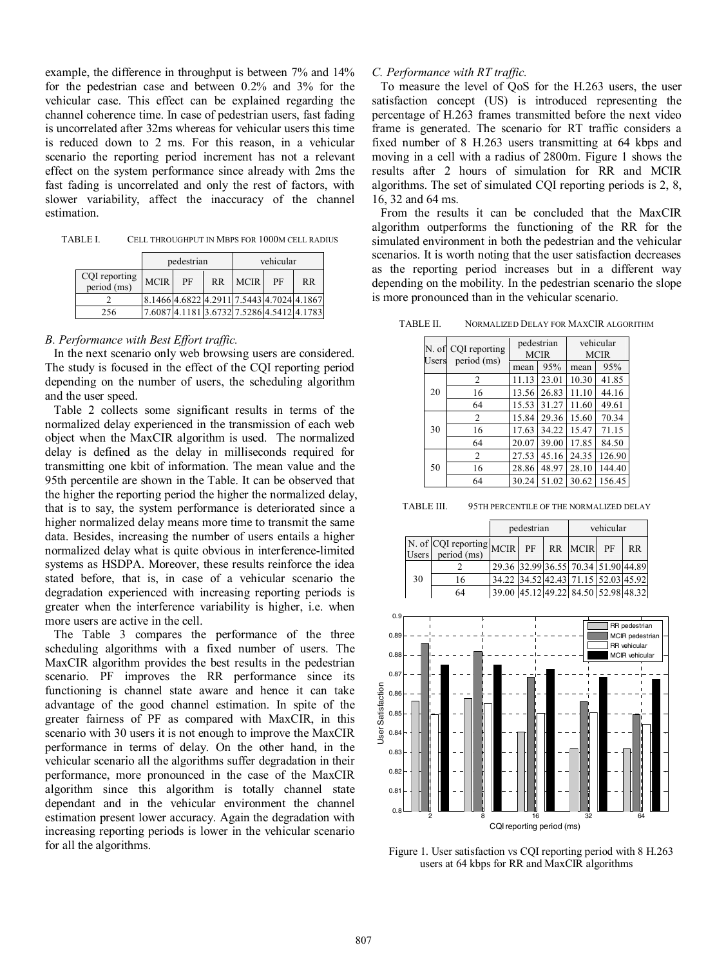example, the difference in throughput is between 7% and 14% for the pedestrian case and between 0.2% and 3% for the vehicular case. This effect can be explained regarding the channel coherence time. In case of pedestrian users, fast fading is uncorrelated after 32ms whereas for vehicular users this time is reduced down to 2 ms. For this reason, in a vehicular scenario the reporting period increment has not a relevant effect on the system performance since already with 2ms the fast fading is uncorrelated and only the rest of factors, with slower variability, affect the inaccuracy of the channel estimation.

TABLE I. CELL THROUGHPUT IN MBPS FOR 1000M CELL RADIUS

|                              | pedestrian  |    |    | vehicular   |    |                                           |
|------------------------------|-------------|----|----|-------------|----|-------------------------------------------|
| CQI reporting<br>period (ms) | <b>MCIR</b> | PF | RR | <b>MCIR</b> | PF | <b>RR</b>                                 |
|                              |             |    |    |             |    | 8.1466 4.6822 4.2911 7.5443 4.7024 4.1867 |
| 256                          |             |    |    |             |    | 7.6087 4.1181 3.6732 7.5286 4.5412 4.1783 |

## *B. Performance with Best Effort traffic.*

In the next scenario only web browsing users are considered. The study is focused in the effect of the CQI reporting period depending on the number of users, the scheduling algorithm and the user speed.

Table 2 collects some significant results in terms of the normalized delay experienced in the transmission of each web object when the MaxCIR algorithm is used. The normalized delay is defined as the delay in milliseconds required for transmitting one kbit of information. The mean value and the 95th percentile are shown in the Table. It can be observed that the higher the reporting period the higher the normalized delay, that is to say, the system performance is deteriorated since a higher normalized delay means more time to transmit the same data. Besides, increasing the number of users entails a higher normalized delay what is quite obvious in interference-limited systems as HSDPA. Moreover, these results reinforce the idea stated before, that is, in case of a vehicular scenario the degradation experienced with increasing reporting periods is greater when the interference variability is higher, i.e. when more users are active in the cell.

The Table 3 compares the performance of the three scheduling algorithms with a fixed number of users. The MaxCIR algorithm provides the best results in the pedestrian scenario. PF improves the RR performance since its functioning is channel state aware and hence it can take advantage of the good channel estimation. In spite of the greater fairness of PF as compared with MaxCIR, in this scenario with 30 users it is not enough to improve the MaxCIR performance in terms of delay. On the other hand, in the vehicular scenario all the algorithms suffer degradation in their performance, more pronounced in the case of the MaxCIR algorithm since this algorithm is totally channel state dependant and in the vehicular environment the channel estimation present lower accuracy. Again the degradation with increasing reporting periods is lower in the vehicular scenario for all the algorithms.

## *C. Performance with RT traffic.*

To measure the level of QoS for the H.263 users, the user satisfaction concept (US) is introduced representing the percentage of H.263 frames transmitted before the next video frame is generated. The scenario for RT traffic considers a fixed number of 8 H.263 users transmitting at 64 kbps and moving in a cell with a radius of 2800m. Figure 1 shows the results after 2 hours of simulation for RR and MCIR algorithms. The set of simulated CQI reporting periods is 2, 8, 16, 32 and 64 ms.

From the results it can be concluded that the MaxCIR algorithm outperforms the functioning of the RR for the simulated environment in both the pedestrian and the vehicular scenarios. It is worth noting that the user satisfaction decreases as the reporting period increases but in a different way depending on the mobility. In the pedestrian scenario the slope is more pronounced than in the vehicular scenario.

TABLE II. NORMALIZED DELAY FOR MAXCIR ALGORITHM

| Users | N. of CQI reporting<br>period (ms) |       | pedestrian<br><b>MCIR</b> | vehicular<br><b>MCIR</b> |        |  |
|-------|------------------------------------|-------|---------------------------|--------------------------|--------|--|
|       |                                    | mean  | 95%                       | mean                     | 95%    |  |
|       | $\overline{c}$                     | 11.13 | 23.01                     | 10.30                    | 41.85  |  |
| 20    | 16                                 | 13.56 | 26.83                     | 11.10                    | 44.16  |  |
|       | 64                                 | 15.53 | 31.27                     | 11.60                    | 49.61  |  |
| 30    | $\overline{c}$                     | 15.84 | 29.36                     | 15.60                    | 70.34  |  |
|       | 16                                 | 17.63 | 34.22                     | 15.47                    | 71.15  |  |
|       | 64                                 | 20.07 | 39.00                     | 17.85                    | 84.50  |  |
| 50    | $\overline{2}$                     | 27.53 | 45.16                     | 24.35                    | 126.90 |  |
|       | 16                                 | 28.86 | 48.97                     | 28.10                    | 144.40 |  |
|       | 64                                 | 30.24 | 51.02                     | 30.62                    | 156.45 |  |

TABLE III. 95TH PERCENTILE OF THE NORMALIZED DELAY

|       |                                                         | pedestrian                          |  | vehicular |                                     |  |    |
|-------|---------------------------------------------------------|-------------------------------------|--|-----------|-------------------------------------|--|----|
| Users | $N. of \overline{CQI} reporting MCIR PF$<br>period (ms) |                                     |  |           | RR MCIR PF                          |  | RR |
|       |                                                         |                                     |  |           | 29.36 32.99 36.55 70.34 51.90 44.89 |  |    |
| 30    | 16                                                      |                                     |  |           | 34.22 34.52 42.43 71.15 52.03 45.92 |  |    |
|       | 64                                                      | 39.00 45.12 49.22 84.50 52.98 48.32 |  |           |                                     |  |    |



Figure 1. User satisfaction vs CQI reporting period with 8 H.263 users at 64 kbps for RR and MaxCIR algorithms